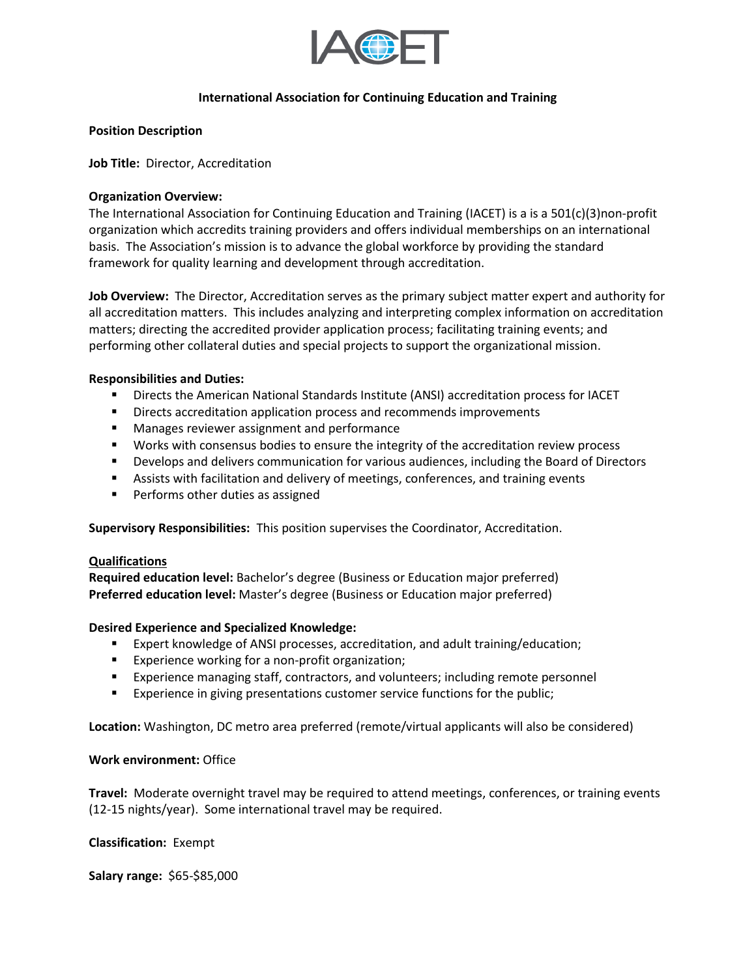

## **International Association for Continuing Education and Training**

### **Position Description**

**Job Title:** Director, Accreditation

### **Organization Overview:**

The International Association for Continuing Education and Training (IACET) is a is a 501(c)(3)non-profit organization which accredits training providers and offers individual memberships on an international basis. The Association's mission is to advance the global workforce by providing the standard framework for quality learning and development through accreditation.

**Job Overview:** The Director, Accreditation serves as the primary subject matter expert and authority for all accreditation matters. This includes analyzing and interpreting complex information on accreditation matters; directing the accredited provider application process; facilitating training events; and performing other collateral duties and special projects to support the organizational mission.

### **Responsibilities and Duties:**

- **■** Directs the American National Standards Institute (ANSI) accreditation process for IACET
- Directs accreditation application process and recommends improvements
- Manages reviewer assignment and performance
- Works with consensus bodies to ensure the integrity of the accreditation review process
- **•** Develops and delivers communication for various audiences, including the Board of Directors
- Assists with facilitation and delivery of meetings, conferences, and training events
- Performs other duties as assigned

**Supervisory Responsibilities:** This position supervises the Coordinator, Accreditation.

#### **Qualifications**

**Required education level:** Bachelor's degree (Business or Education major preferred) **Preferred education level:** Master's degree (Business or Education major preferred)

# **Desired Experience and Specialized Knowledge:**

- Expert knowledge of ANSI processes, accreditation, and adult training/education;
- Experience working for a non-profit organization;
- Experience managing staff, contractors, and volunteers; including remote personnel
- **Experience in giving presentations customer service functions for the public;**

**Location:** Washington, DC metro area preferred (remote/virtual applicants will also be considered)

## **Work environment:** Office

**Travel:** Moderate overnight travel may be required to attend meetings, conferences, or training events (12-15 nights/year). Some international travel may be required.

# **Classification:** Exempt

**Salary range:** \$65-\$85,000